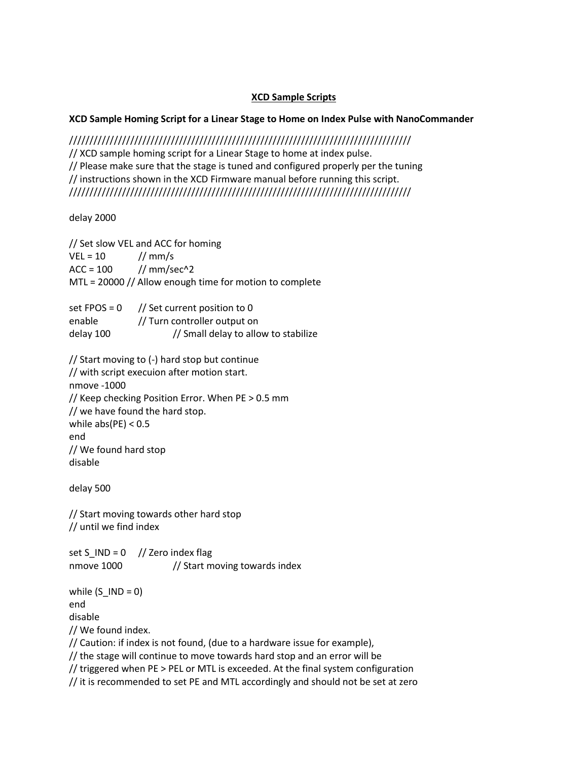## **XCD Sample Scripts**

## **XCD Sample Homing Script for a Linear Stage to Home on Index Pulse with NanoCommander**

//////////////////////////////////////////////////////////////////////////////////// // XCD sample homing script for a Linear Stage to home at index pulse. // Please make sure that the stage is tuned and configured properly per the tuning // instructions shown in the XCD Firmware manual before running this script. ////////////////////////////////////////////////////////////////////////////////////

delay 2000

// Set slow VEL and ACC for homing  $VEL = 10$  // mm/s  $ACC = 100$  // mm/sec^2 MTL = 20000 // Allow enough time for motion to complete

| $set$ FPOS = 0 | // Set current position to 0         |
|----------------|--------------------------------------|
| enable         | // Turn controller output on         |
| delay 100      | // Small delay to allow to stabilize |

// Start moving to (-) hard stop but continue // with script execuion after motion start. nmove -1000 // Keep checking Position Error. When PE > 0.5 mm // we have found the hard stop. while  $abs(PE) < 0.5$ end // We found hard stop disable

delay 500

// Start moving towards other hard stop // until we find index

set S\_IND =  $0$  // Zero index flag nmove 1000 // Start moving towards index

while  $(S$  IND = 0) end disable // We found index. // Caution: if index is not found, (due to a hardware issue for example),

// the stage will continue to move towards hard stop and an error will be

// triggered when PE > PEL or MTL is exceeded. At the final system configuration

// it is recommended to set PE and MTL accordingly and should not be set at zero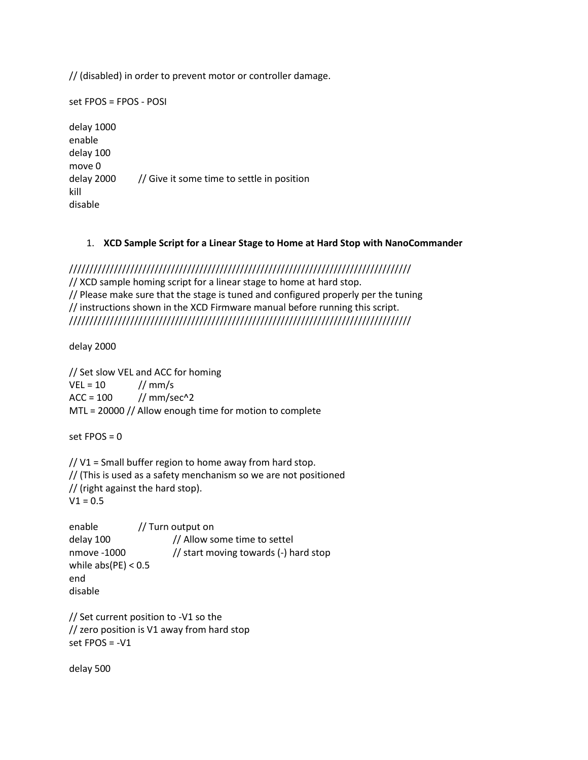// (disabled) in order to prevent motor or controller damage.

set FPOS = FPOS - POSI delay 1000 enable delay 100 move 0 delay 2000 // Give it some time to settle in position kill disable

## 1. **XCD Sample Script for a Linear Stage to Home at Hard Stop with NanoCommander**

//////////////////////////////////////////////////////////////////////////////////// // XCD sample homing script for a linear stage to home at hard stop. // Please make sure that the stage is tuned and configured properly per the tuning // instructions shown in the XCD Firmware manual before running this script. ////////////////////////////////////////////////////////////////////////////////////

delay 2000

// Set slow VEL and ACC for homing  $VEL = 10$  // mm/s  $ACC = 100$  // mm/sec^2 MTL = 20000 // Allow enough time for motion to complete

set  $FPOS = 0$ 

// V1 = Small buffer region to home away from hard stop. // (This is used as a safety menchanism so we are not positioned // (right against the hard stop).  $V1 = 0.5$ 

```
enable // Turn output on
delay 100 // Allow some time to settel
nmove -1000 // start moving towards (-) hard stop
while abs(PE) < 0.5end
disable
```
// Set current position to -V1 so the // zero position is V1 away from hard stop set FPOS = -V1

delay 500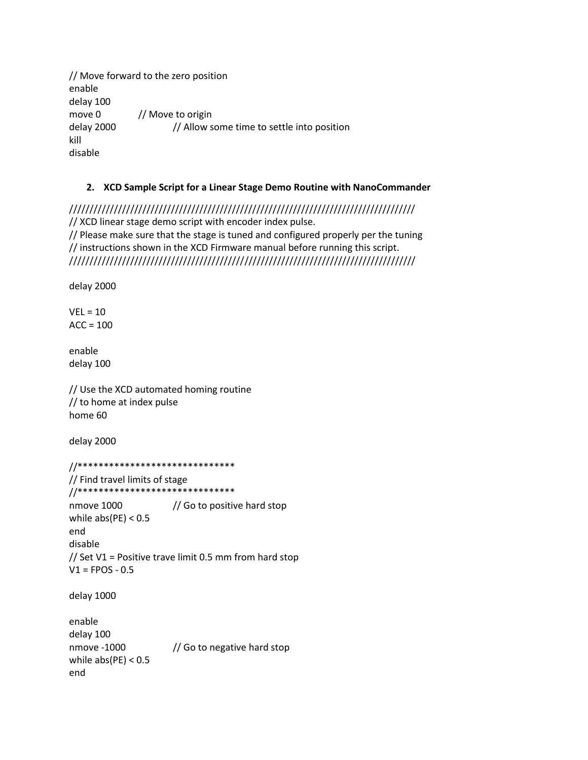// Move forward to the zero position enable delay 100 move 0 // Move to origin delay 2000 // Allow some time to settle into position kill disable

## **2. XCD Sample Script for a Linear Stage Demo Routine with NanoCommander**

///////////////////////////////////////////////////////////////////////////////////// // XCD linear stage demo script with encoder index pulse. // Please make sure that the stage is tuned and configured properly per the tuning // instructions shown in the XCD Firmware manual before running this script. /////////////////////////////////////////////////////////////////////////////////////

delay 2000

 $VEL = 10$  $ACC = 100$ 

enable delay 100

// Use the XCD automated homing routine // to home at index pulse home 60

delay 2000

end

//\*\*\*\*\*\*\*\*\*\*\*\*\*\*\*\*\*\*\*\*\*\*\*\*\*\*\*\*\*\* // Find travel limits of stage //\*\*\*\*\*\*\*\*\*\*\*\*\*\*\*\*\*\*\*\*\*\*\*\*\*\*\*\*\*\* nmove 1000 // Go to positive hard stop while  $abs(PE) < 0.5$ end disable // Set V1 = Positive trave limit 0.5 mm from hard stop  $V1 = FPOS - 0.5$ delay 1000 enable delay 100 nmove -1000 // Go to negative hard stop while  $abs(PE) < 0.5$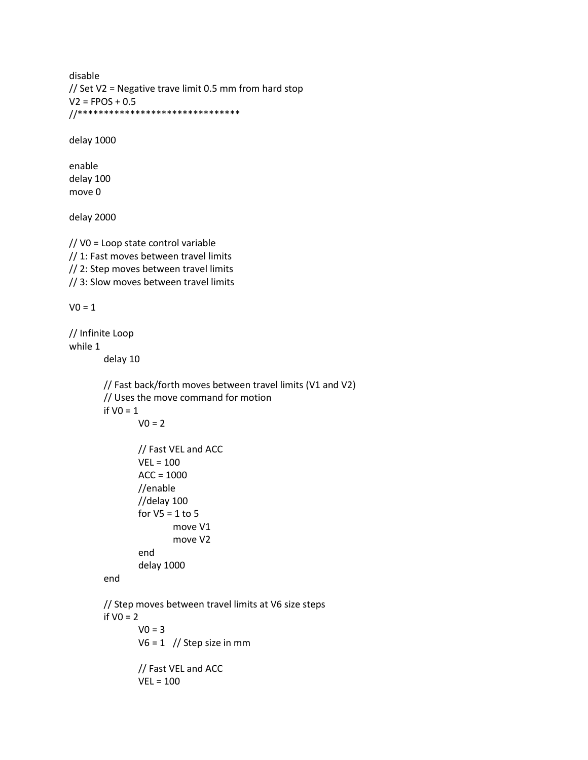disable // Set V2 = Negative trave limit 0.5 mm from hard stop  $V2 = FPOS + 0.5$ //\*\*\*\*\*\*\*\*\*\*\*\*\*\*\*\*\*\*\*\*\*\*\*\*\*\*\*\*\*\*\*

delay 1000

enable delay 100 move 0

delay 2000

// V0 = Loop state control variable // 1: Fast moves between travel limits // 2: Step moves between travel limits // 3: Slow moves between travel limits

 $V0 = 1$ 

// Infinite Loop while 1 delay 10 // Fast back/forth moves between travel limits (V1 and V2) // Uses the move command for motion if  $VO = 1$  $V0 = 2$ // Fast VEL and ACC VEL = 100  $ACC = 1000$ //enable //delay 100 for  $V5 = 1$  to 5 move V1 move V2 end delay 1000 end // Step moves between travel limits at V6 size steps if  $VO = 2$  $V0 = 3$  $V6 = 1$  // Step size in mm // Fast VEL and ACC VEL = 100